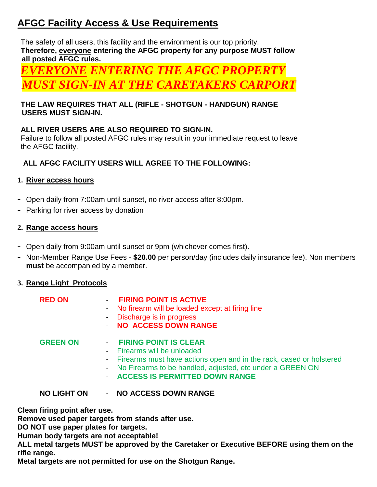# **AFGC Facility Access & Use Requirements**

The safety of all users, this facility and the environment is our top priority. **Therefore, everyone entering the AFGC property for any purpose MUST follow all posted AFGC rules.**

*EVERYONE ENTERING THE AFGC PROPERTY ST SIGN-IN AT THE CARETAKERS CARPO* 

## **THE LAW REQUIRES THAT ALL (RIFLE - SHOTGUN - HANDGUN) RANGE USERS MUST SIGN-IN.**

# **ALL RIVER USERS ARE ALSO REQUIRED TO SIGN-IN.**

Failure to follow all posted AFGC rules may result in your immediate request to leave the AFGC facility.

# **ALL AFGC FACILITY USERS WILL AGREE TO THE FOLLOWING:**

# **1. River access hours**

- Open daily from 7:00am until sunset, no river access after 8:00pm.
- Parking for river access by donation

# **2. Range access hours**

- Open daily from 9:00am until sunset or 9pm (whichever comes first).
- Non-Member Range Use Fees **\$20.00** per person/day (includes daily insurance fee). Non members **must** be accompanied by a member.

#### **3. Range Light Protocols**

| <b>NO LIGHT ON</b> | <b>NO ACCESS DOWN RANGE</b>                                                                                                                                                                                                        |
|--------------------|------------------------------------------------------------------------------------------------------------------------------------------------------------------------------------------------------------------------------------|
| <b>GREEN ON</b>    | - FIRING POINT IS CLEAR<br>- Firearms will be unloaded<br>- Firearms must have actions open and in the rack, cased or holstered<br>- No Firearms to be handled, adjusted, etc under a GREEN ON<br>- ACCESS IS PERMITTED DOWN RANGE |
| <b>RED ON</b>      | - FIRING POINT IS ACTIVE<br>- No firearm will be loaded except at firing line<br>- Discharge is in progress<br>- NO ACCESS DOWN RANGE                                                                                              |

**Clean firing point after use.** 

**Remove used paper targets from stands after use.**

**DO NOT use paper plates for targets.**

**Human body targets are not acceptable!** 

**ALL metal targets MUST be approved by the Caretaker or Executive BEFORE using them on the rifle range.** 

**Metal targets are not permitted for use on the Shotgun Range.**